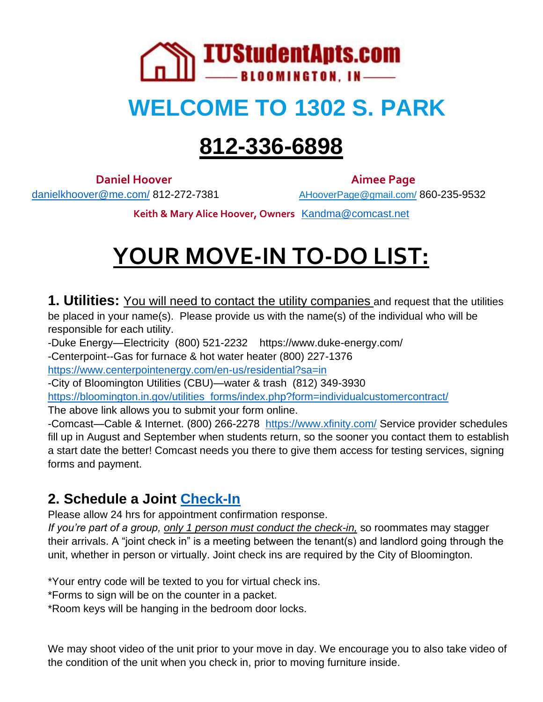

## **WELCOME TO 1302 S. PARK**

# **812-336-6898**

**Daniel Hoover Aimee Page** 

[danielkhoover@me.com/](mailto:danielkhoover@me.com/) 812-272-7381 [AHooverPage@gmail.com/](mailto:AHooverPage@gmail.com/) 860-235-9532

**Keith & Mary Alice Hoover, Owners** [Kandma@comcast.net](mailto:Kandma@comcast.net)

# **YOUR MOVE-IN TO-DO LIST:**

**1. Utilities:** You will need to contact the utility companies and request that the utilities be placed in your name(s). Please provide us with the name(s) of the individual who will be responsible for each utility.

-Duke Energy—Electricity (800) 521-2232 https://www.duke-energy.com/ -Centerpoint--Gas for furnace & hot water heater (800) 227-1376 <https://www.centerpointenergy.com/en-us/residential?sa=in> -City of Bloomington Utilities (CBU)—water & trash (812) 349-3930

[https://bloomington.in.gov/utilities\\_forms/index.php?form=individualcustomercontract/](https://bloomington.in.gov/utilities_forms/index.php?form=individualcustomercontract/)

The above link allows you to submit your form online.

-Comcast—Cable & Internet. (800) 266-2278 <https://www.xfinity.com/> Service provider schedules fill up in August and September when students return, so the sooner you contact them to establish a start date the better! Comcast needs you there to give them access for testing services, signing forms and payment.

## **2. Schedule a Joint [Check-In](https://docs.google.com/spreadsheets/d/1z8hJ2M80sDJfa7ZzQZCw8CHTu85kFSvb5JmIEA8GiPg/edit#gid=0)**

Please allow 24 hrs for appointment confirmation response.

*If you're part of a group, only 1 person must conduct the check-in,* so roommates may stagger their arrivals. A "joint check in" is a meeting between the tenant(s) and landlord going through the unit, whether in person or virtually. Joint check ins are required by the City of Bloomington.

\*Your entry code will be texted to you for virtual check ins.

\*Forms to sign will be on the counter in a packet.

\*Room keys will be hanging in the bedroom door locks.

We may shoot video of the unit prior to your move in day. We encourage you to also take video of the condition of the unit when you check in, prior to moving furniture inside.